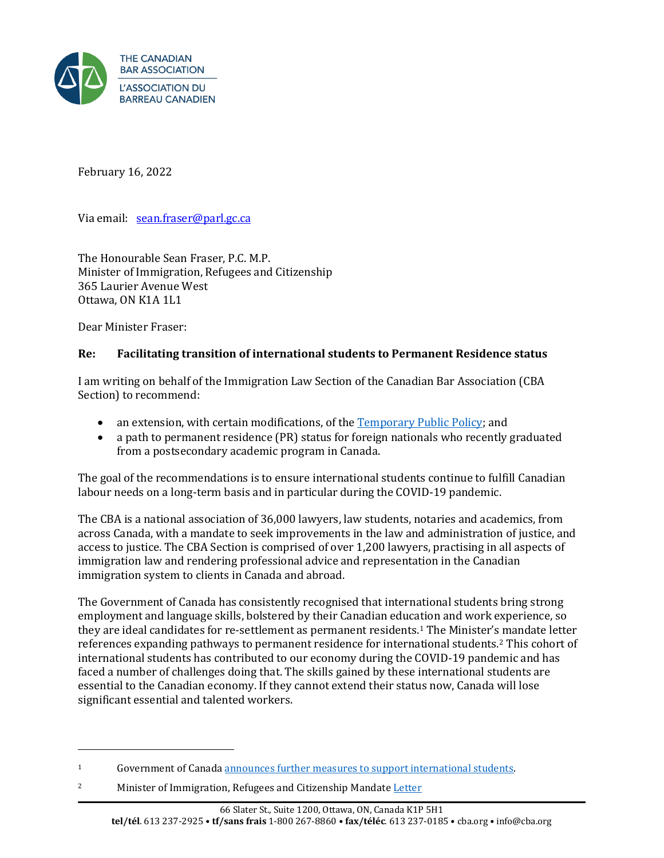

February 16, 2022

Via email: [sean.fraser@parl.gc.ca](mailto:sean.fraser@parl.gc.ca)

The Honourable Sean Fraser, P.C. M.P. Minister of Immigration, Refugees and Citizenship 365 Laurier Avenue West Ottawa, ON K1A 1L1

Dear Minister Fraser:

## **Re: Facilitating transition of international students to Permanent Residence status**

I am writing on behalf of the Immigration Law Section of the Canadian Bar Association (CBA Section) to recommend:

- an extension, with certain modifications, of the **Temporary Public Policy**; and
- a path to permanent residence (PR) status for foreign nationals who recently graduated from a postsecondary academic program in Canada.

The goal of the recommendations is to ensure international students continue to fulfill Canadian labour needs on a long-term basis and in particular during the COVID-19 pandemic.

The CBA is a national association of 36,000 lawyers, law students, notaries and academics, from across Canada, with a mandate to seek improvements in the law and administration of justice, and access to justice. The CBA Section is comprised of over 1,200 lawyers, practising in all aspects of immigration law and rendering professional advice and representation in the Canadian immigration system to clients in Canada and abroad.

The Government of Canada has consistently recognised that international students bring strong employment and language skills, bolstered by their Canadian education and work experience, so they are ideal candidates for re-settlement as permanent residents.1 The Minister's mandate letter references expanding pathways to permanent residence for international students.2 This cohort of international students has contributed to our economy during the COVID-19 pandemic and has faced a number of challenges doing that. The skills gained by these international students are essential to the Canadian economy. If they cannot extend their status now, Canada will lose significant essential and talented workers.

<sup>1</sup> Government of Canad[a announces further measures to support international students.](https://www.canada.ca/en/immigration-refugees-citizenship/news/2021/02/government-of-canada-announces-further-measures-to-support-international-students.html)

<sup>2</sup> Minister of Immigration, Refugees and Citizenship Mandate [Letter](https://pm.gc.ca/en/mandate-letters/2021/12/16/minister-immigration-refugees-and-citizenship-mandate-letter)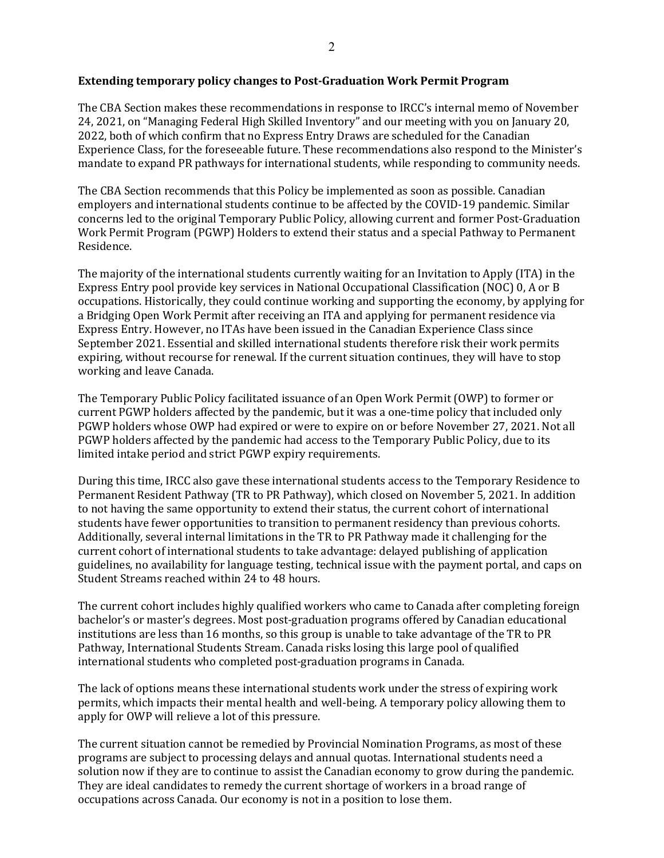#### **Extending temporary policy changes to Post-Graduation Work Permit Program**

The CBA Section makes these recommendations in response to IRCC's internal memo of November 24, 2021, on "Managing Federal High Skilled Inventory" and our meeting with you on January 20, 2022, both of which confirm that no Express Entry Draws are scheduled for the Canadian Experience Class, for the foreseeable future. These recommendations also respond to the Minister's mandate to expand PR pathways for international students, while responding to community needs.

The CBA Section recommends that this Policy be implemented as soon as possible. Canadian employers and international students continue to be affected by the COVID-19 pandemic. Similar concerns led to the original Temporary Public Policy, allowing current and former Post-Graduation Work Permit Program (PGWP) Holders to extend their status and a special Pathway to Permanent Residence.

The majority of the international students currently waiting for an Invitation to Apply (ITA) in the Express Entry pool provide key services in National Occupational Classification (NOC) 0, A or B occupations. Historically, they could continue working and supporting the economy, by applying for a Bridging Open Work Permit after receiving an ITA and applying for permanent residence via Express Entry. However, no ITAs have been issued in the Canadian Experience Class since September 2021. Essential and skilled international students therefore risk their work permits expiring, without recourse for renewal. If the current situation continues, they will have to stop working and leave Canada.

The Temporary Public Policy facilitated issuance of an Open Work Permit (OWP) to former or current PGWP holders affected by the pandemic, but it was a one-time policy that included only PGWP holders whose OWP had expired or were to expire on or before November 27, 2021. Not all PGWP holders affected by the pandemic had access to the Temporary Public Policy, due to its limited intake period and strict PGWP expiry requirements.

During this time, IRCC also gave these international students access to the Temporary Residence to Permanent Resident Pathway (TR to PR Pathway), which closed on November 5, 2021. In addition to not having the same opportunity to extend their status, the current cohort of international students have fewer opportunities to transition to permanent residency than previous cohorts. Additionally, several internal limitations in the TR to PR Pathway made it challenging for the current cohort of international students to take advantage: delayed publishing of application guidelines, no availability for language testing, technical issue with the payment portal, and caps on Student Streams reached within 24 to 48 hours.

The current cohort includes highly qualified workers who came to Canada after completing foreign bachelor's or master's degrees. Most post-graduation programs offered by Canadian educational institutions are less than 16 months, so this group is unable to take advantage of the TR to PR Pathway, International Students Stream. Canada risks losing this large pool of qualified international students who completed post-graduation programs in Canada.

The lack of options means these international students work under the stress of expiring work permits, which impacts their mental health and well-being. A temporary policy allowing them to apply for OWP will relieve a lot of this pressure.

The current situation cannot be remedied by Provincial Nomination Programs, as most of these programs are subject to processing delays and annual quotas. International students need a solution now if they are to continue to assist the Canadian economy to grow during the pandemic. They are ideal candidates to remedy the current shortage of workers in a broad range of occupations across Canada. Our economy is not in a position to lose them.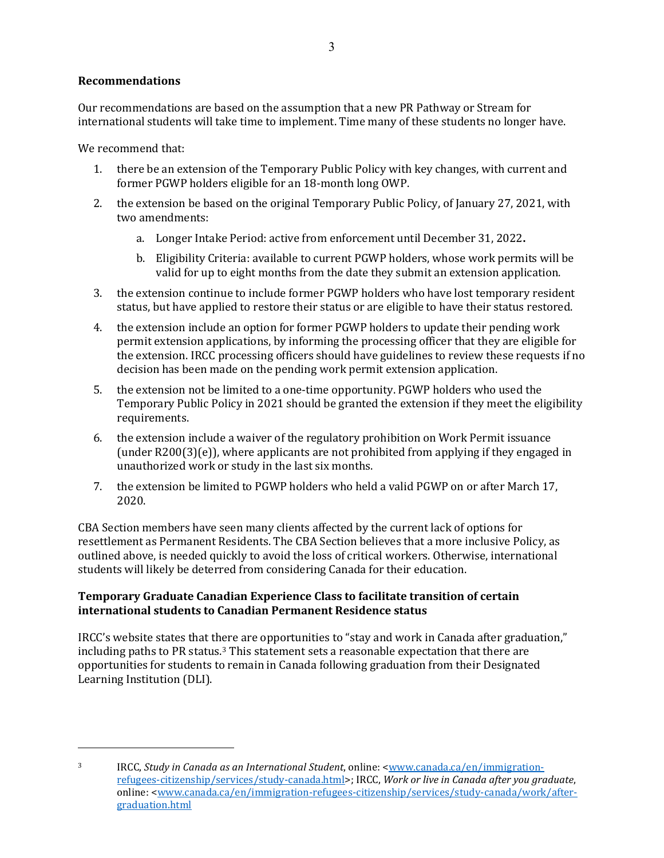# **Recommendations**

Our recommendations are based on the assumption that a new PR Pathway or Stream for international students will take time to implement. Time many of these students no longer have.

We recommend that:

- 1. there be an extension of the Temporary Public Policy with key changes, with current and former PGWP holders eligible for an 18-month long OWP.
- 2. the extension be based on the original Temporary Public Policy, of January 27, 2021, with two amendments:
	- a. Longer Intake Period: active from enforcement until December 31, 2022**.**
	- b. Eligibility Criteria: available to current PGWP holders, whose work permits will be valid for up to eight months from the date they submit an extension application.
- 3. the extension continue to include former PGWP holders who have lost temporary resident status, but have applied to restore their status or are eligible to have their status restored.
- 4. the extension include an option for former PGWP holders to update their pending work permit extension applications, by informing the processing officer that they are eligible for the extension. IRCC processing officers should have guidelines to review these requests if no decision has been made on the pending work permit extension application.
- 5. the extension not be limited to a one-time opportunity. PGWP holders who used the Temporary Public Policy in 2021 should be granted the extension if they meet the eligibility requirements.
- 6. the extension include a waiver of the regulatory prohibition on Work Permit issuance (under R200(3)(e)), where applicants are not prohibited from applying if they engaged in unauthorized work or study in the last six months.
- 7. the extension be limited to PGWP holders who held a valid PGWP on or after March 17, 2020.

CBA Section members have seen many clients affected by the current lack of options for resettlement as Permanent Residents. The CBA Section believes that a more inclusive Policy, as outlined above, is needed quickly to avoid the loss of critical workers. Otherwise, international students will likely be deterred from considering Canada for their education.

## **Temporary Graduate Canadian Experience Class to facilitate transition of certain international students to Canadian Permanent Residence status**

IRCC's website states that there are opportunities to "stay and work in Canada after graduation," including paths to PR status. $3$  This statement sets a reasonable expectation that there are opportunities for students to remain in Canada following graduation from their Designated Learning Institution (DLI).

<sup>3</sup> IRCC, *Study in Canada as an International Student*, online: [<www.canada.ca/en/immigration](http://www.canada.ca/en/immigration-refugees-citizenship/services/study-canada.html)[refugees-citizenship/services/study-canada.html>](http://www.canada.ca/en/immigration-refugees-citizenship/services/study-canada.html); IRCC, *Work or live in Canada after you graduate*, online: [<www.canada.ca/en/immigration-refugees-citizenship/services/study-canada/work/after](http://www.canada.ca/en/immigration-refugees-citizenship/services/study-canada/work/after-graduation.html)[graduation.html](http://www.canada.ca/en/immigration-refugees-citizenship/services/study-canada/work/after-graduation.html)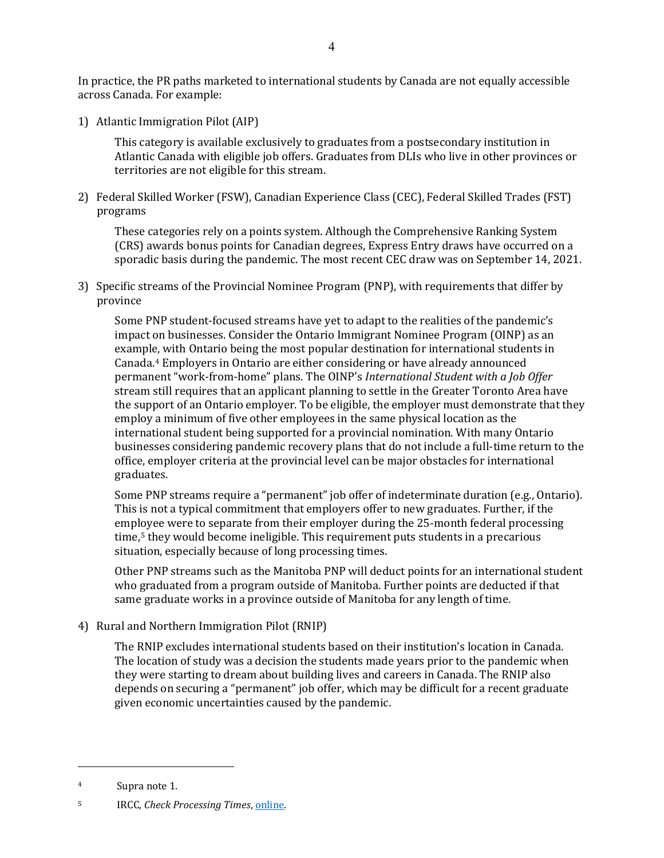In practice, the PR paths marketed to international students by Canada are not equally accessible across Canada. For example:

1) Atlantic Immigration Pilot (AIP)

This category is available exclusively to graduates from a postsecondary institution in Atlantic Canada with eligible job offers. Graduates from DLIs who live in other provinces or territories are not eligible for this stream.

2) Federal Skilled Worker (FSW), Canadian Experience Class (CEC), Federal Skilled Trades (FST) programs

These categories rely on a points system. Although the Comprehensive Ranking System (CRS) awards bonus points for Canadian degrees, Express Entry draws have occurred on a sporadic basis during the pandemic. The most recent CEC draw was on September 14, 2021.

3) Specific streams of the Provincial Nominee Program (PNP), with requirements that differ by province

Some PNP student-focused streams have yet to adapt to the realities of the pandemic's impact on businesses. Consider the Ontario Immigrant Nominee Program (OINP) as an example, with Ontario being the most popular destination for international students in Canada.4 Employers in Ontario are either considering or have already announced permanent "work-from-home" plans. The OINP's *International Student with a Job Offer*  stream still requires that an applicant planning to settle in the Greater Toronto Area have the support of an Ontario employer. To be eligible, the employer must demonstrate that they employ a minimum of five other employees in the same physical location as the international student being supported for a provincial nomination. With many Ontario businesses considering pandemic recovery plans that do not include a full-time return to the office, employer criteria at the provincial level can be major obstacles for international graduates.

Some PNP streams require a "permanent" job offer of indeterminate duration (e.g., Ontario). This is not a typical commitment that employers offer to new graduates. Further, if the employee were to separate from their employer during the 25-month federal processing time,<sup>5</sup> they would become ineligible. This requirement puts students in a precarious situation, especially because of long processing times.

Other PNP streams such as the Manitoba PNP will deduct points for an international student who graduated from a program outside of Manitoba. Further points are deducted if that same graduate works in a province outside of Manitoba for any length of time.

4) Rural and Northern Immigration Pilot (RNIP)

The RNIP excludes international students based on their institution's location in Canada. The location of study was a decision the students made years prior to the pandemic when they were starting to dream about building lives and careers in Canada. The RNIP also depends on securing a "permanent" job offer, which may be difficult for a recent graduate given economic uncertainties caused by the pandemic.

<sup>4</sup> Supra note 1.

<sup>5</sup> IRCC, *Check Processing Times*[, online.](http://www.canada.ca/en/immigration-refugees-citizenship/services/application/check-processing-times.html)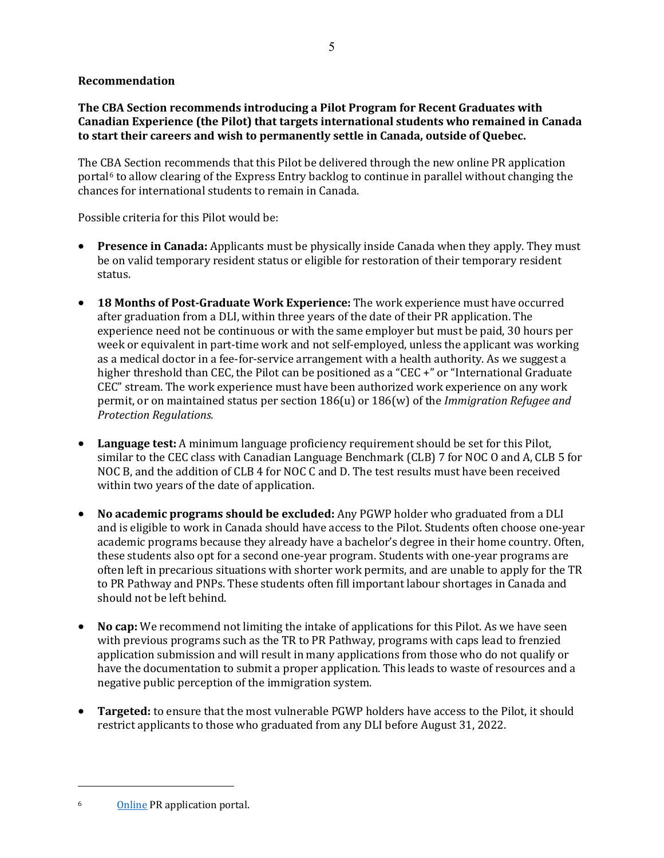#### **Recommendation**

**The CBA Section recommends introducing a Pilot Program for Recent Graduates with Canadian Experience (the Pilot) that targets international students who remained in Canada to start their careers and wish to permanently settle in Canada, outside of Quebec.** 

The CBA Section recommends that this Pilot be delivered through the new online PR application portal6 to allow clearing of the Express Entry backlog to continue in parallel without changing the chances for international students to remain in Canada.

Possible criteria for this Pilot would be:

- **Presence in Canada:** Applicants must be physically inside Canada when they apply. They must be on valid temporary resident status or eligible for restoration of their temporary resident status.
- **18 Months of Post-Graduate Work Experience:** The work experience must have occurred after graduation from a DLI, within three years of the date of their PR application. The experience need not be continuous or with the same employer but must be paid, 30 hours per week or equivalent in part-time work and not self-employed, unless the applicant was working as a medical doctor in a fee-for-service arrangement with a health authority. As we suggest a higher threshold than CEC, the Pilot can be positioned as a "CEC +" or "International Graduate CEC" stream. The work experience must have been authorized work experience on any work permit, or on maintained status per section 186(u) or 186(w) of the *Immigration Refugee and Protection Regulations.*
- **Language test:** A minimum language proficiency requirement should be set for this Pilot, similar to the CEC class with Canadian Language Benchmark (CLB) 7 for NOC O and A, CLB 5 for NOC B, and the addition of CLB 4 for NOC C and D. The test results must have been received within two years of the date of application.
- **No academic programs should be excluded:** Any PGWP holder who graduated from a DLI and is eligible to work in Canada should have access to the Pilot. Students often choose one-year academic programs because they already have a bachelor's degree in their home country. Often, these students also opt for a second one-year program. Students with one-year programs are often left in precarious situations with shorter work permits, and are unable to apply for the TR to PR Pathway and PNPs. These students often fill important labour shortages in Canada and should not be left behind.
- **No cap:** We recommend not limiting the intake of applications for this Pilot. As we have seen with previous programs such as the TR to PR Pathway, programs with caps lead to frenzied application submission and will result in many applications from those who do not qualify or have the documentation to submit a proper application. This leads to waste of resources and a negative public perception of the immigration system.
- **Targeted:** to ensure that the most vulnerable PGWP holders have access to the Pilot, it should restrict applicants to those who graduated from any DLI before August 31, 2022.

<sup>6</sup> [Online](https://prson-srpel.apps.cic.gc.ca/en/rep/login) PR application portal.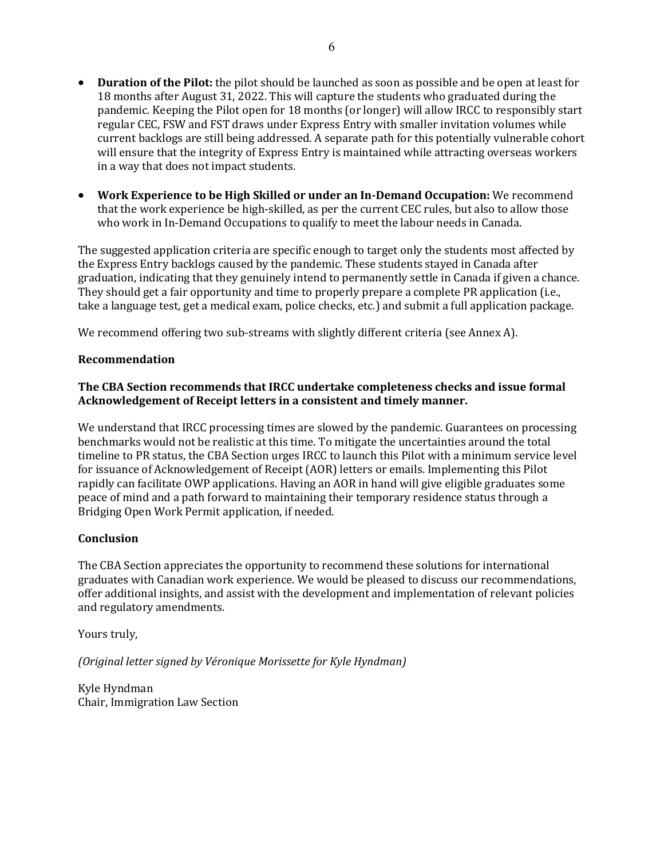- **Duration of the Pilot:** the pilot should be launched as soon as possible and be open at least for 18 months after August 31, 2022. This will capture the students who graduated during the pandemic. Keeping the Pilot open for 18 months (or longer) will allow IRCC to responsibly start regular CEC, FSW and FST draws under Express Entry with smaller invitation volumes while current backlogs are still being addressed. A separate path for this potentially vulnerable cohort will ensure that the integrity of Express Entry is maintained while attracting overseas workers in a way that does not impact students.
- **Work Experience to be High Skilled or under an In-Demand Occupation:** We recommend that the work experience be high-skilled, as per the current CEC rules, but also to allow those who work in In-Demand Occupations to qualify to meet the labour needs in Canada.

The suggested application criteria are specific enough to target only the students most affected by the Express Entry backlogs caused by the pandemic. These students stayed in Canada after graduation, indicating that they genuinely intend to permanently settle in Canada if given a chance. They should get a fair opportunity and time to properly prepare a complete PR application (i.e., take a language test, get a medical exam, police checks, etc.) and submit a full application package.

We recommend offering two sub-streams with slightly different criteria (see Annex A).

#### **Recommendation**

#### **The CBA Section recommends that IRCC undertake completeness checks and issue formal Acknowledgement of Receipt letters in a consistent and timely manner.**

We understand that IRCC processing times are slowed by the pandemic. Guarantees on processing benchmarks would not be realistic at this time. To mitigate the uncertainties around the total timeline to PR status, the CBA Section urges IRCC to launch this Pilot with a minimum service level for issuance of Acknowledgement of Receipt (AOR) letters or emails. Implementing this Pilot rapidly can facilitate OWP applications. Having an AOR in hand will give eligible graduates some peace of mind and a path forward to maintaining their temporary residence status through a Bridging Open Work Permit application, if needed.

## **Conclusion**

The CBA Section appreciates the opportunity to recommend these solutions for international graduates with Canadian work experience. We would be pleased to discuss our recommendations, offer additional insights, and assist with the development and implementation of relevant policies and regulatory amendments.

Yours truly,

*(Original letter signed by Véronique Morissette for Kyle Hyndman)*

Kyle Hyndman Chair, Immigration Law Section